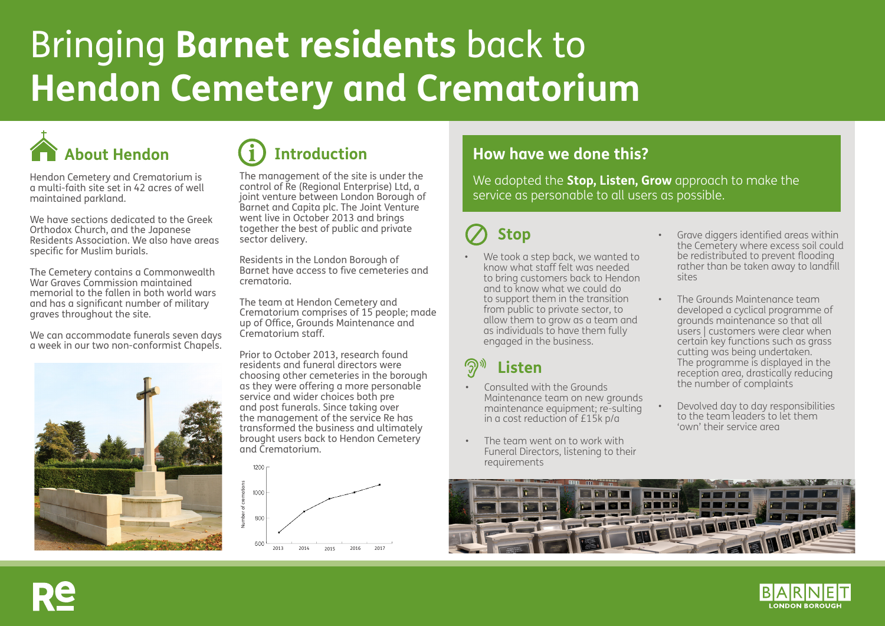# Bringing **Barnet residents** back to **Hendon Cemetery and Crematorium**



Hendon Cemetery and Crematorium is a multi-faith site set in 42 acres of well maintained parkland.

We have sections dedicated to the Greek Orthodox Church, and the Japanese Residents Association. We also have areas specific for Muslim burials.

The Cemetery contains a Commonwealth War Graves Commission maintained memorial to the fallen in both world wars and has a significant number of military graves throughout the site.

We can accommodate funerals seven days a week in our two non-conformist Chapels.



The management of the site is under the control of Re (Regional Enterprise) Ltd, a joint venture between London Borough of Barnet and Capita plc. The Joint Venture went live in October 2013 and brings together the best of public and private sector delivery.

Residents in the London Borough of Barnet have access to five cemeteries and crematoria.

The team at Hendon Cemetery and Crematorium comprises of 15 people; made up of Office, Grounds Maintenance and Crematorium staff.

Prior to October 2013, research found residents and funeral directors were choosing other cemeteries in the borough as they were offering a more personable service and wider choices both pre and post funerals. Since taking over the management of the service Re has transformed the business and ultimately brought users back to Hendon Cemetery and Crematorium.



### About Hendon **Introduction How have we done this?**

We adopted the **Stop, Listen, Grow** approach to make the service as personable to all users as possible.

## **Stop**

We took a step back, we wanted to know what staff felt was needed to bring customers back to Hendon and to know what we could do to support them in the transition from public to private sector, to allow them to grow as a team and as individuals to have them fully engaged in the business.

### **Listen**

- Consulted with the Grounds Maintenance team on new grounds maintenance equipment; re-sulting in a cost reduction of £15k p/a
- The team went on to work with Funeral Directors, listening to their requirements
- Grave diggers identified areas within the Cemetery where excess soil could be redistributed to prevent flooding rather than be taken away to landfill sites
- The Grounds Maintenance team developed a cyclical programme of grounds maintenance so that all users | customers were clear when certain key functions such as grass cutting was being undertaken. The programme is displayed in the reception area, drastically reducing the number of complaints
- Devolved day to day responsibilities to the team leaders to let them 'own' their service area